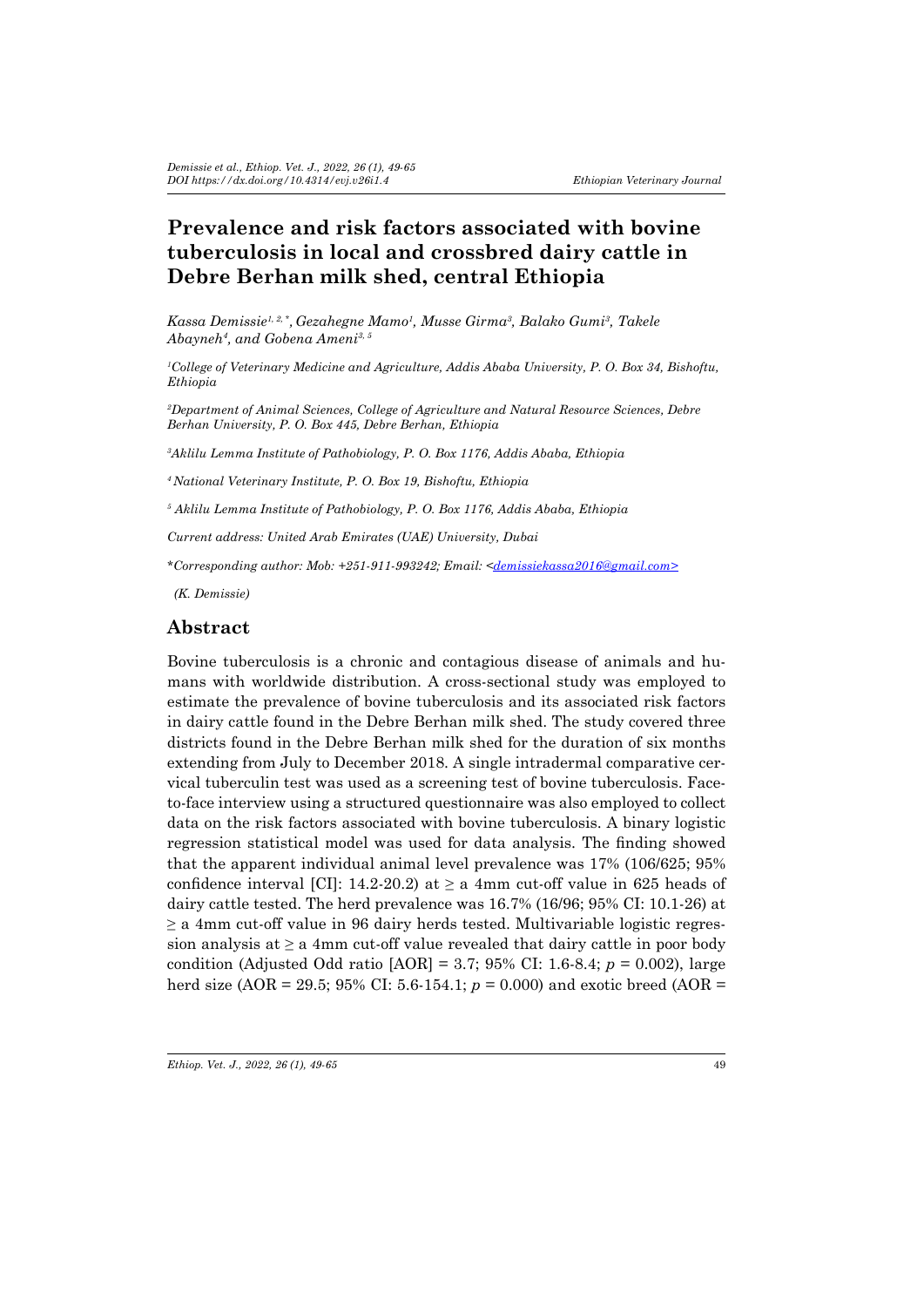# **Prevalence and risk factors associated with bovine tuberculosis in local and crossbred dairy cattle in Debre Berhan milk shed, central Ethiopia**

*Kassa Demissie1, 2, \*, Gezahegne Mamo1 , Musse Girma3 , Balako Gumi3 , Takele Abayneh<sup>4</sup> , and Gobena Ameni3, 5*

*1 College of Veterinary Medicine and Agriculture, Addis Ababa University, P. O. Box 34, Bishoftu, Ethiopia* 

*2 Department of Animal Sciences, College of Agriculture and Natural Resource Sciences, Debre Berhan University, P. O. Box 445, Debre Berhan, Ethiopia*

*3 Aklilu Lemma Institute of Pathobiology, P. O. Box 1176, Addis Ababa, Ethiopia*

*<sup>4</sup>National Veterinary Institute, P. O. Box 19, Bishoftu, Ethiopia*

*5 Aklilu Lemma Institute of Pathobiology, P. O. Box 1176, Addis Ababa, Ethiopia*

*Current address: United Arab Emirates (UAE) University, Dubai* 

*\*Corresponding author: Mob: +251-911-993242; Email: <demissiekassa2016@gmail.com>*

 *(K. Demissie)*

### **Abstract**

Bovine tuberculosis is a chronic and contagious disease of animals and humans with worldwide distribution. A cross-sectional study was employed to estimate the prevalence of bovine tuberculosis and its associated risk factors in dairy cattle found in the Debre Berhan milk shed. The study covered three districts found in the Debre Berhan milk shed for the duration of six months extending from July to December 2018. A single intradermal comparative cervical tuberculin test was used as a screening test of bovine tuberculosis. Faceto-face interview using a structured questionnaire was also employed to collect data on the risk factors associated with bovine tuberculosis. A binary logistic regression statistical model was used for data analysis. The finding showed that the apparent individual animal level prevalence was 17% (106/625; 95% confidence interval [CI]: 14.2-20.2) at  $\geq$  a 4mm cut-off value in 625 heads of dairy cattle tested. The herd prevalence was 16.7% (16/96; 95% CI: 10.1-26) at  $\geq$  a 4mm cut-off value in 96 dairy herds tested. Multivariable logistic regression analysis at *≥* a 4mm cut-off value revealed that dairy cattle in poor body condition (Adjusted Odd ratio [AOR] = 3.7; 95% CI: 1.6-8.4; *p* = 0.002), large herd size (AOR = 29.5; 95% CI: 5.6-154.1; *p* = 0.000) and exotic breed (AOR =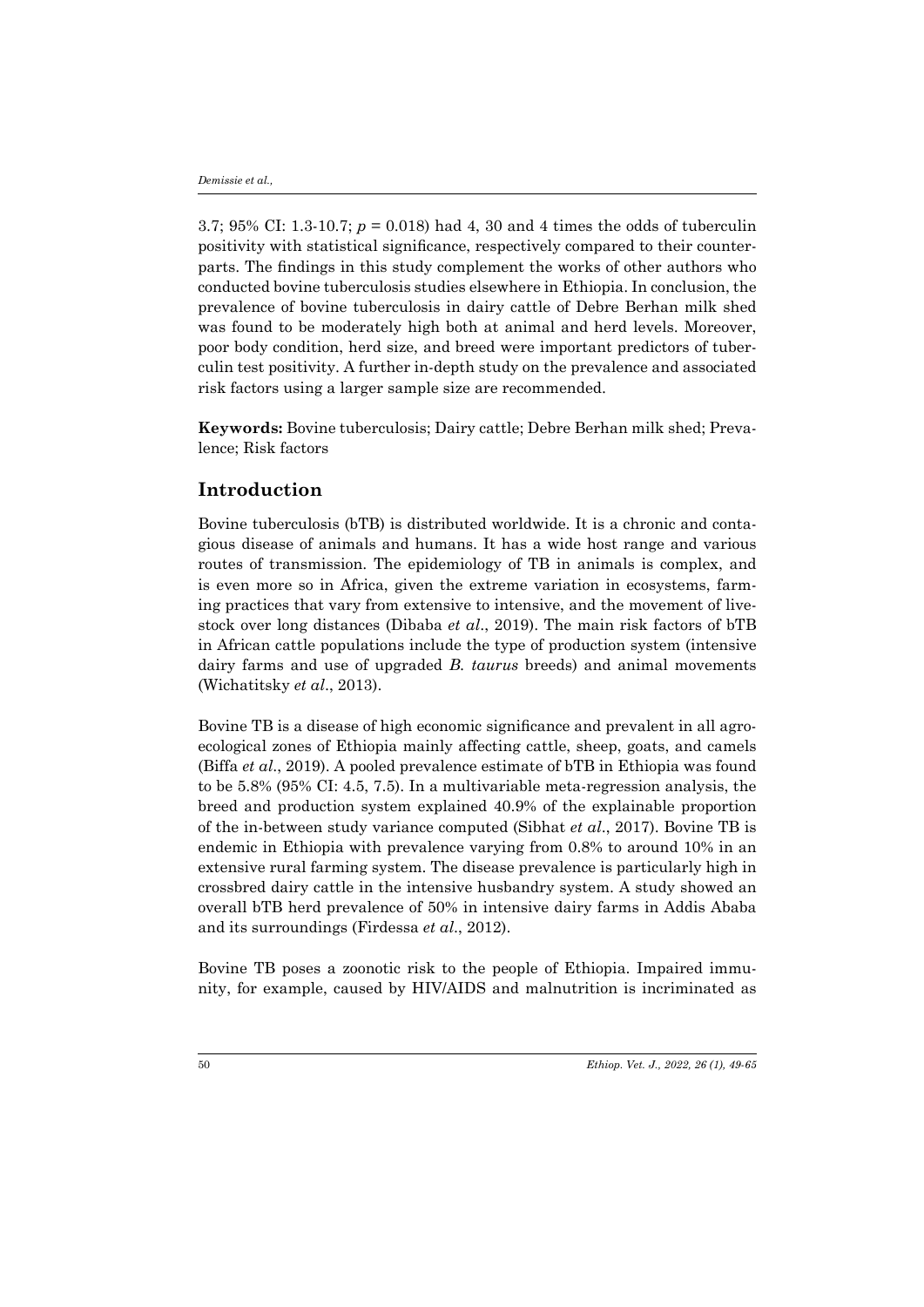3.7; 95% CI: 1.3-10.7; *p* = 0.018) had 4, 30 and 4 times the odds of tuberculin positivity with statistical significance, respectively compared to their counterparts. The findings in this study complement the works of other authors who conducted bovine tuberculosis studies elsewhere in Ethiopia. In conclusion, the prevalence of bovine tuberculosis in dairy cattle of Debre Berhan milk shed was found to be moderately high both at animal and herd levels. Moreover, poor body condition, herd size, and breed were important predictors of tuberculin test positivity. A further in-depth study on the prevalence and associated risk factors using a larger sample size are recommended.

**Keywords:** Bovine tuberculosis; Dairy cattle; Debre Berhan milk shed; Prevalence; Risk factors

### **Introduction**

Bovine tuberculosis (bTB) is distributed worldwide. It is a chronic and contagious disease of animals and humans. It has a wide host range and various routes of transmission. The epidemiology of TB in animals is complex, and is even more so in Africa, given the extreme variation in ecosystems, farming practices that vary from extensive to intensive, and the movement of livestock over long distances (Dibaba *et al*., 2019). The main risk factors of bTB in African cattle populations include the type of production system (intensive dairy farms and use of upgraded *B. taurus* breeds) and animal movements (Wichatitsky *et al*., 2013).

Bovine TB is a disease of high economic significance and prevalent in all agroecological zones of Ethiopia mainly affecting cattle, sheep, goats, and camels (Biffa *et al*., 2019). A pooled prevalence estimate of bTB in Ethiopia was found to be 5.8% (95% CI: 4.5, 7.5). In a multivariable meta-regression analysis, the breed and production system explained 40.9% of the explainable proportion of the in-between study variance computed (Sibhat *et al*., 2017). Bovine TB is endemic in Ethiopia with prevalence varying from 0.8% to around 10% in an extensive rural farming system. The disease prevalence is particularly high in crossbred dairy cattle in the intensive husbandry system. A study showed an overall bTB herd prevalence of 50% in intensive dairy farms in Addis Ababa and its surroundings (Firdessa *et al*., 2012).

Bovine TB poses a zoonotic risk to the people of Ethiopia. Impaired immunity, for example, caused by HIV/AIDS and malnutrition is incriminated as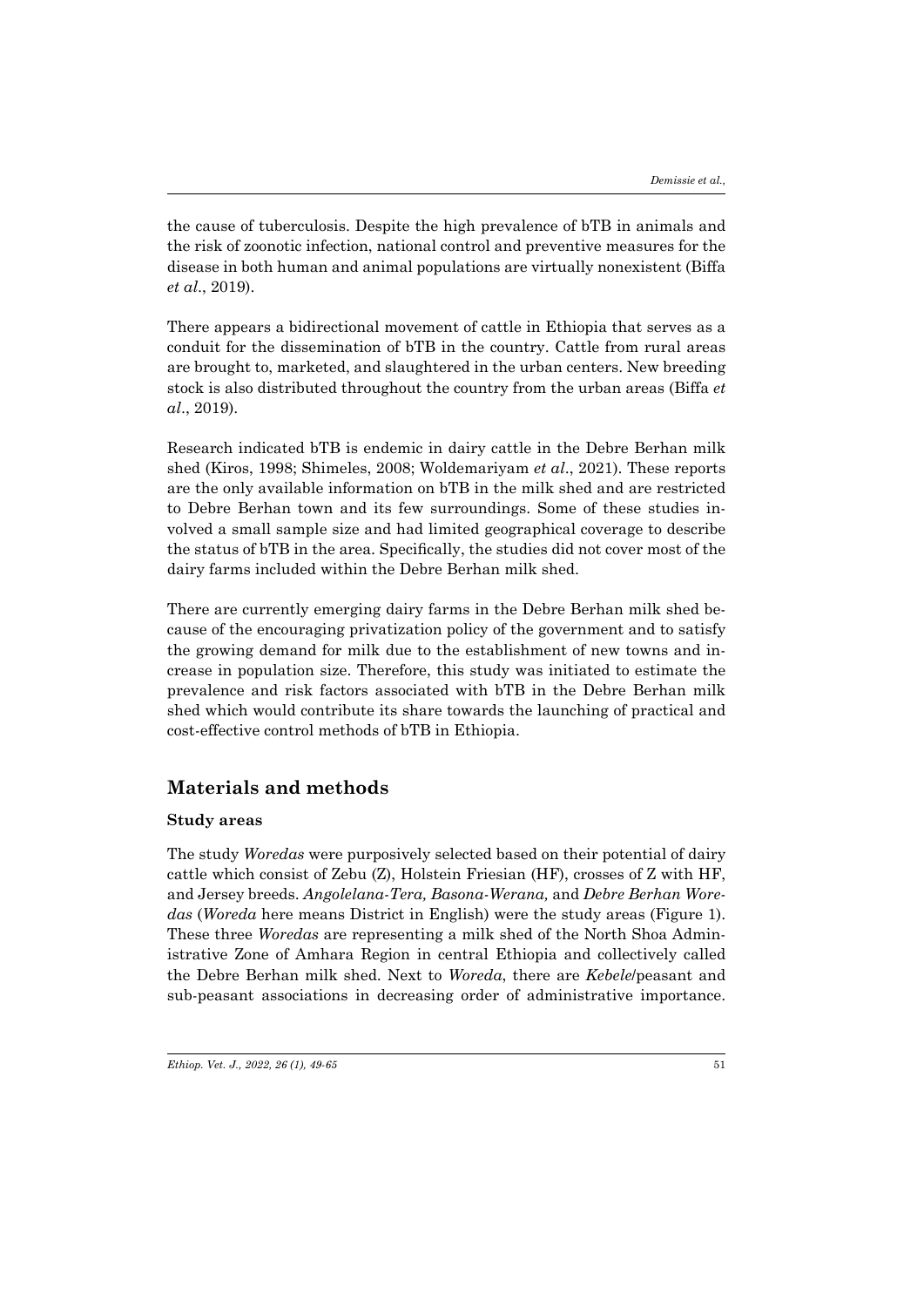the cause of tuberculosis. Despite the high prevalence of bTB in animals and the risk of zoonotic infection, national control and preventive measures for the disease in both human and animal populations are virtually nonexistent (Biffa *et al*., 2019).

There appears a bidirectional movement of cattle in Ethiopia that serves as a conduit for the dissemination of bTB in the country. Cattle from rural areas are brought to, marketed, and slaughtered in the urban centers. New breeding stock is also distributed throughout the country from the urban areas (Biffa *et al*., 2019).

Research indicated bTB is endemic in dairy cattle in the Debre Berhan milk shed (Kiros, 1998; Shimeles, 2008; Woldemariyam *et al*., 2021). These reports are the only available information on bTB in the milk shed and are restricted to Debre Berhan town and its few surroundings. Some of these studies involved a small sample size and had limited geographical coverage to describe the status of bTB in the area. Specifically, the studies did not cover most of the dairy farms included within the Debre Berhan milk shed.

There are currently emerging dairy farms in the Debre Berhan milk shed because of the encouraging privatization policy of the government and to satisfy the growing demand for milk due to the establishment of new towns and increase in population size. Therefore, this study was initiated to estimate the prevalence and risk factors associated with bTB in the Debre Berhan milk shed which would contribute its share towards the launching of practical and cost-effective control methods of bTB in Ethiopia.

# **Materials and methods**

### **Study areas**

The study *Woredas* were purposively selected based on their potential of dairy cattle which consist of Zebu (Z), Holstein Friesian (HF), crosses of Z with HF, and Jersey breeds. *Angolelana-Tera, Basona-Werana,* and *Debre Berhan Woredas* (*Woreda* here means District in English) were the study areas (Figure 1). These three *Woredas* are representing a milk shed of the North Shoa Administrative Zone of Amhara Region in central Ethiopia and collectively called the Debre Berhan milk shed. Next to *Woreda*, there are *Kebele*/peasant and sub-peasant associations in decreasing order of administrative importance.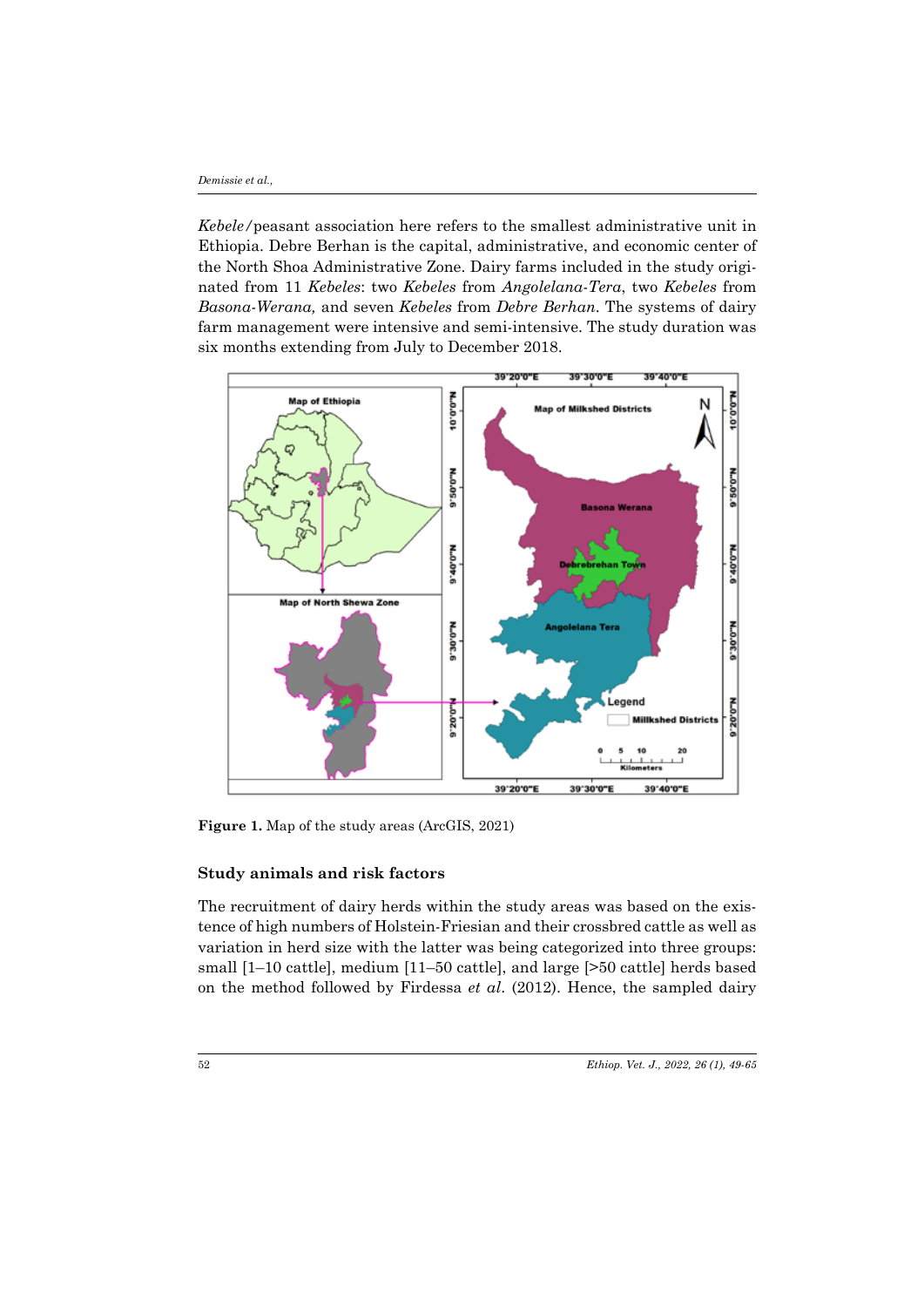*Kebele/*peasant association here refers to the smallest administrative unit in Ethiopia. Debre Berhan is the capital, administrative, and economic center of the North Shoa Administrative Zone. Dairy farms included in the study originated from 11 *Kebeles*: two *Kebeles* from *Angolelana-Tera*, two *Kebeles* from *Basona-Werana,* and seven *Kebeles* from *Debre Berhan*. The systems of dairy farm management were intensive and semi-intensive. The study duration was six months extending from July to December 2018.



**Figure 1.** Map of the study areas (ArcGIS, 2021)

### **Study animals and risk factors**

The recruitment of dairy herds within the study areas was based on the existence of high numbers of Holstein-Friesian and their crossbred cattle as well as variation in herd size with the latter was being categorized into three groups: small [1–10 cattle], medium [11–50 cattle], and large [>50 cattle] herds based on the method followed by Firdessa *et al*. (2012). Hence, the sampled dairy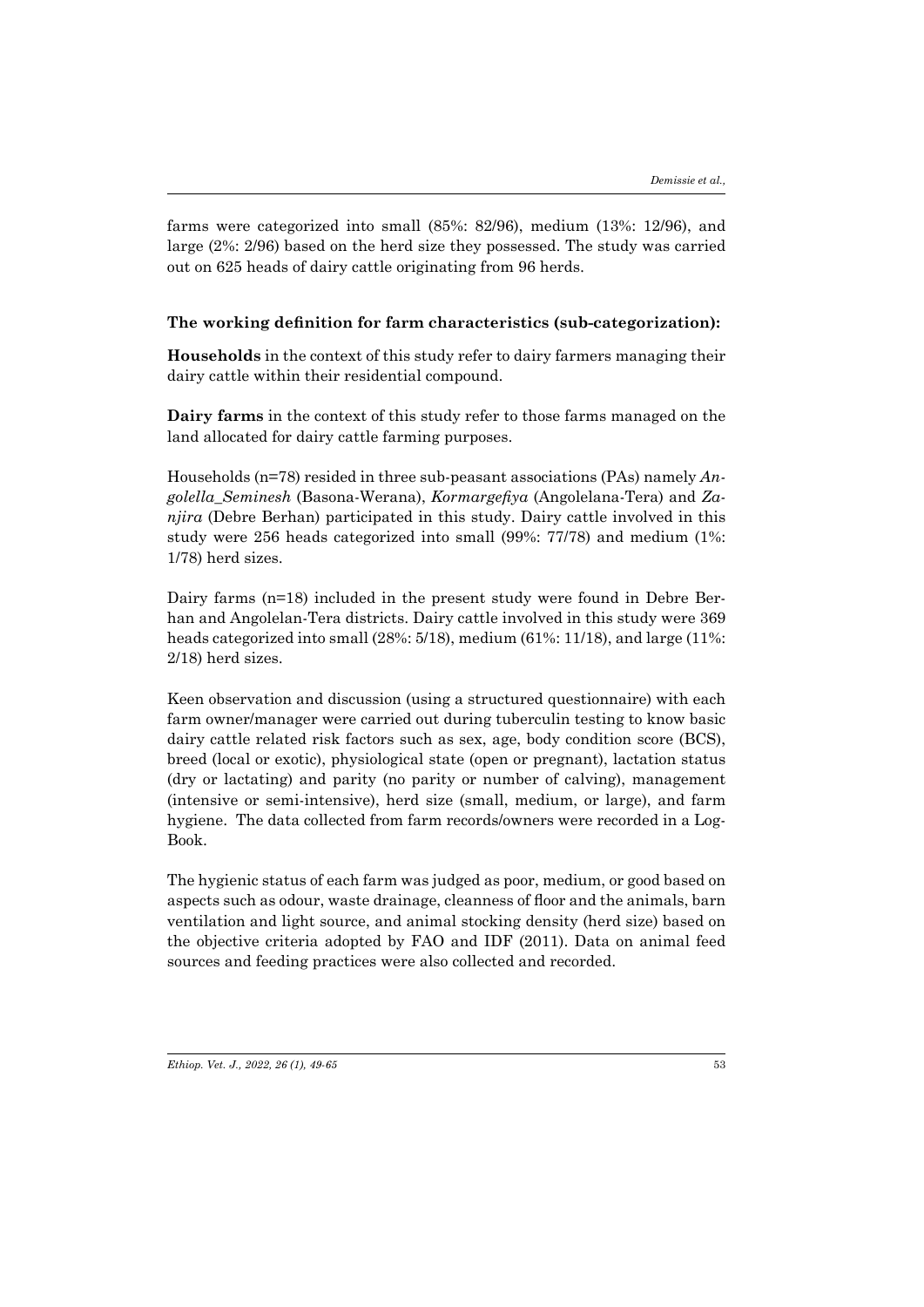farms were categorized into small (85%: 82/96), medium (13%: 12/96), and large (2%: 2/96) based on the herd size they possessed. The study was carried out on 625 heads of dairy cattle originating from 96 herds.

### **The working definition for farm characteristics (sub-categorization):**

**Households** in the context of this study refer to dairy farmers managing their dairy cattle within their residential compound.

**Dairy farms** in the context of this study refer to those farms managed on the land allocated for dairy cattle farming purposes.

Households (n=78) resided in three sub-peasant associations (PAs) namely *Angolella\_Seminesh* (Basona-Werana), *Kormargefiya* (Angolelana-Tera) and *Zanjira* (Debre Berhan) participated in this study. Dairy cattle involved in this study were 256 heads categorized into small (99%: 77/78) and medium (1%: 1/78) herd sizes.

Dairy farms (n=18) included in the present study were found in Debre Berhan and Angolelan-Tera districts. Dairy cattle involved in this study were 369 heads categorized into small (28%: 5/18), medium (61%: 11/18), and large (11%: 2/18) herd sizes.

Keen observation and discussion (using a structured questionnaire) with each farm owner/manager were carried out during tuberculin testing to know basic dairy cattle related risk factors such as sex, age, body condition score (BCS), breed (local or exotic), physiological state (open or pregnant), lactation status (dry or lactating) and parity (no parity or number of calving), management (intensive or semi-intensive), herd size (small, medium, or large), and farm hygiene. The data collected from farm records/owners were recorded in a Log-Book.

The hygienic status of each farm was judged as poor, medium, or good based on aspects such as odour, waste drainage, cleanness of floor and the animals, barn ventilation and light source, and animal stocking density (herd size) based on the objective criteria adopted by FAO and IDF (2011). Data on animal feed sources and feeding practices were also collected and recorded.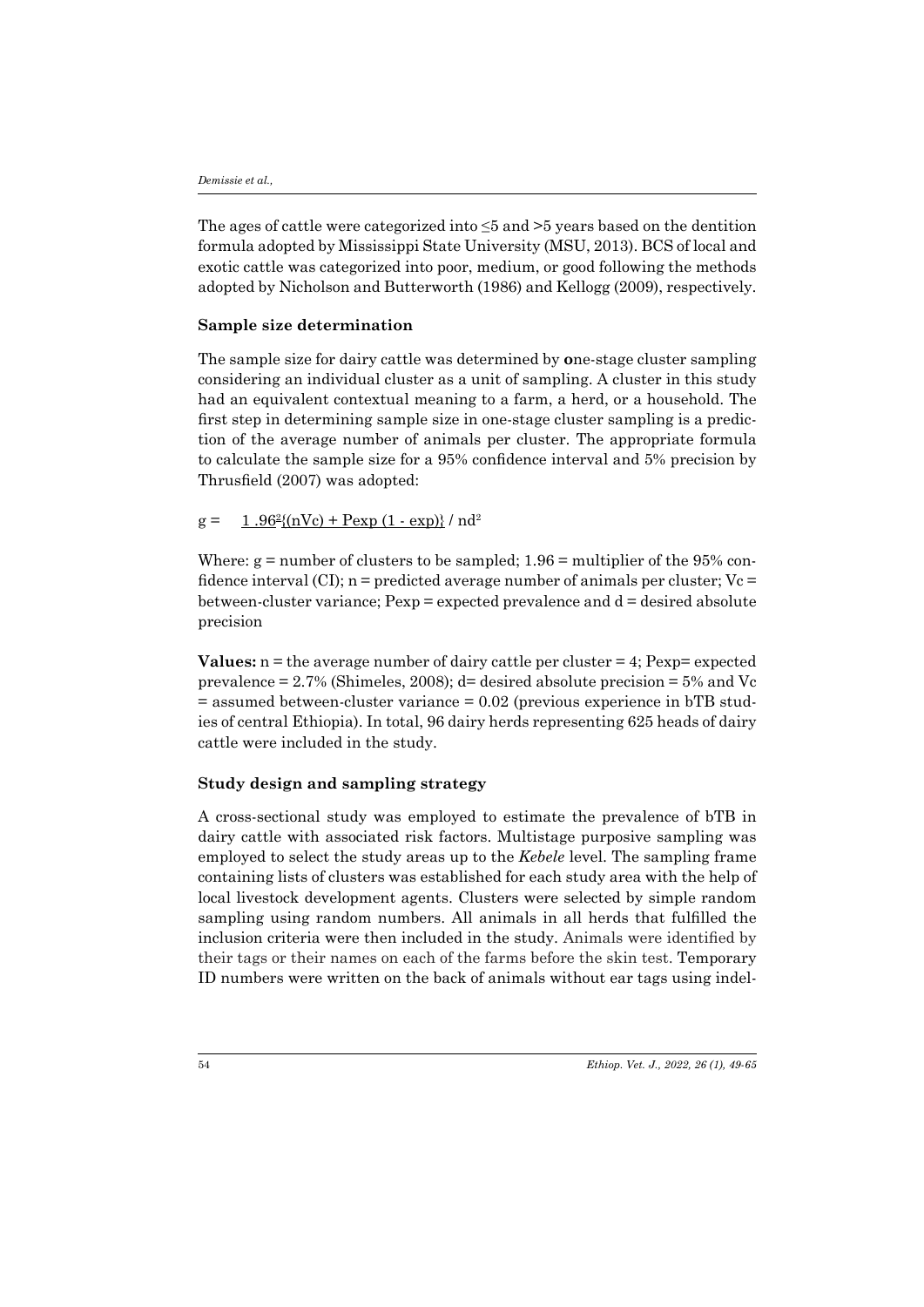The ages of cattle were categorized into ≤5 and >5 years based on the dentition formula adopted by Mississippi State University (MSU, 2013). BCS of local and exotic cattle was categorized into poor, medium, or good following the methods adopted by Nicholson and Butterworth (1986) and Kellogg (2009), respectively.

#### **Sample size determination**

The sample size for dairy cattle was determined by **o**ne-stage cluster sampling considering an individual cluster as a unit of sampling. A cluster in this study had an equivalent contextual meaning to a farm, a herd, or a household. The first step in determining sample size in one-stage cluster sampling is a prediction of the average number of animals per cluster. The appropriate formula to calculate the sample size for a 95% confidence interval and 5% precision by Thrusfield (2007) was adopted:

#### $g = \frac{1.96^2}{(nVc) + Pexp (1 - exp)} / nd^2$

Where:  $g =$  number of clusters to be sampled;  $1.96 =$  multiplier of the 95% confidence interval (CI); n = predicted average number of animals per cluster; Vc = between-cluster variance; Pexp = expected prevalence and d = desired absolute precision

**Values:** n = the average number of dairy cattle per cluster = 4; Pexp= expected prevalence  $= 2.7\%$  (Shimeles, 2008); d= desired absolute precision  $= 5\%$  and Vc  $=$  assumed between-cluster variance  $= 0.02$  (previous experience in bTB studies of central Ethiopia). In total, 96 dairy herds representing 625 heads of dairy cattle were included in the study.

#### **Study design and sampling strategy**

A cross-sectional study was employed to estimate the prevalence of bTB in dairy cattle with associated risk factors. Multistage purposive sampling was employed to select the study areas up to the *Kebele* level. The sampling frame containing lists of clusters was established for each study area with the help of local livestock development agents. Clusters were selected by simple random sampling using random numbers. All animals in all herds that fulfilled the inclusion criteria were then included in the study. Animals were identified by their tags or their names on each of the farms before the skin test. Temporary ID numbers were written on the back of animals without ear tags using indel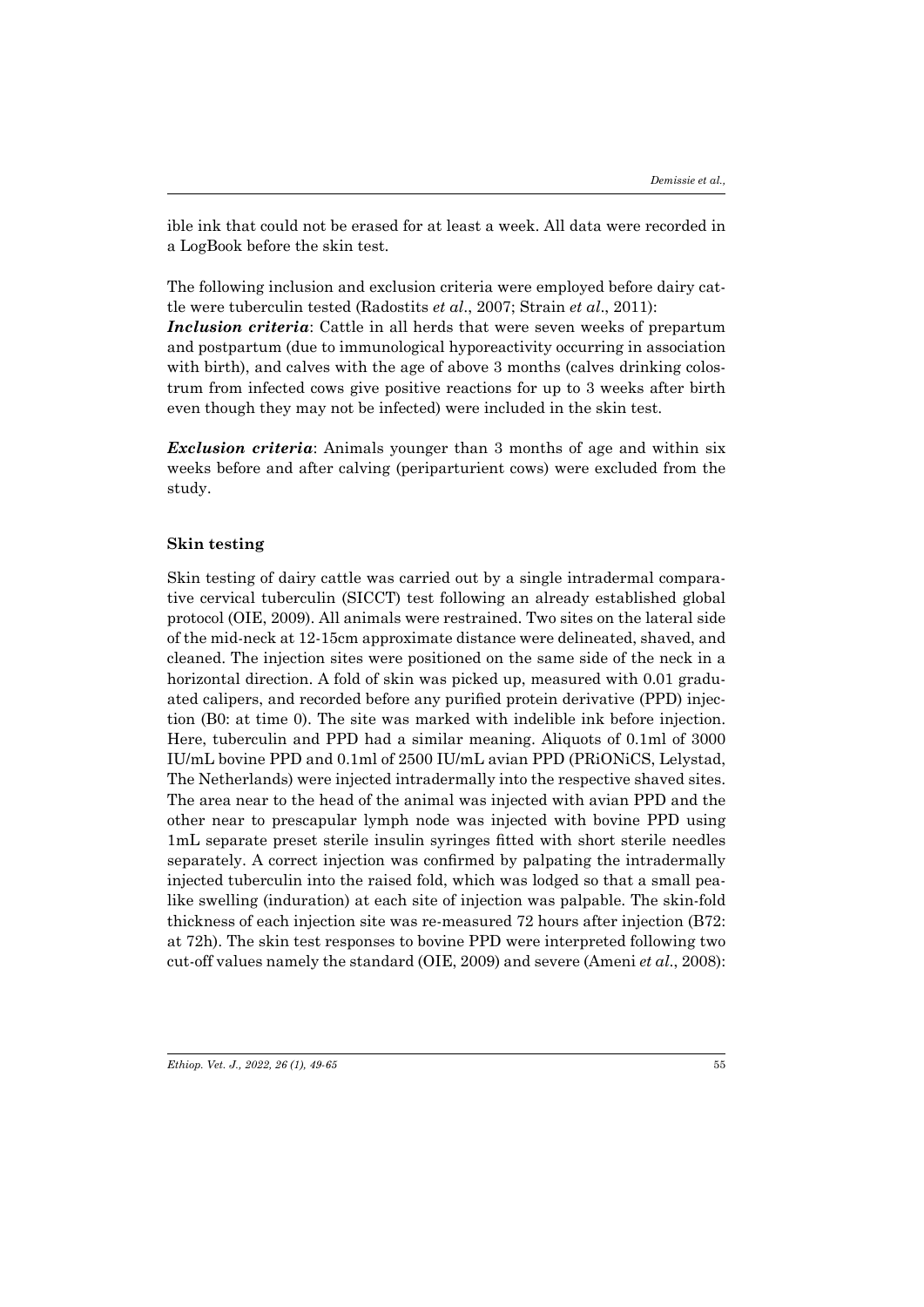ible ink that could not be erased for at least a week. All data were recorded in a LogBook before the skin test.

The following inclusion and exclusion criteria were employed before dairy cattle were tuberculin tested (Radostits *et al*., 2007; Strain *et al*., 2011):

*Inclusion criteria*: Cattle in all herds that were seven weeks of prepartum and postpartum (due to immunological hyporeactivity occurring in association with birth), and calves with the age of above 3 months (calves drinking colostrum from infected cows give positive reactions for up to 3 weeks after birth even though they may not be infected) were included in the skin test.

*Exclusion criteria*: Animals younger than 3 months of age and within six weeks before and after calving (periparturient cows) were excluded from the study.

#### **Skin testing**

Skin testing of dairy cattle was carried out by a single intradermal comparative cervical tuberculin (SICCT) test following an already established global protocol (OIE, 2009). All animals were restrained. Two sites on the lateral side of the mid-neck at 12-15cm approximate distance were delineated, shaved, and cleaned. The injection sites were positioned on the same side of the neck in a horizontal direction. A fold of skin was picked up, measured with 0.01 graduated calipers, and recorded before any purified protein derivative (PPD) injection (B0: at time 0). The site was marked with indelible ink before injection. Here, tuberculin and PPD had a similar meaning. Aliquots of 0.1ml of 3000 IU/mL bovine PPD and 0.1ml of 2500 IU/mL avian PPD (PRiONiCS, Lelystad, The Netherlands) were injected intradermally into the respective shaved sites. The area near to the head of the animal was injected with avian PPD and the other near to prescapular lymph node was injected with bovine PPD using 1mL separate preset sterile insulin syringes fitted with short sterile needles separately. A correct injection was confirmed by palpating the intradermally injected tuberculin into the raised fold, which was lodged so that a small pealike swelling (induration) at each site of injection was palpable. The skin-fold thickness of each injection site was re-measured 72 hours after injection (B72: at 72h). The skin test responses to bovine PPD were interpreted following two cut-off values namely the standard (OIE, 2009) and severe (Ameni *et al*., 2008):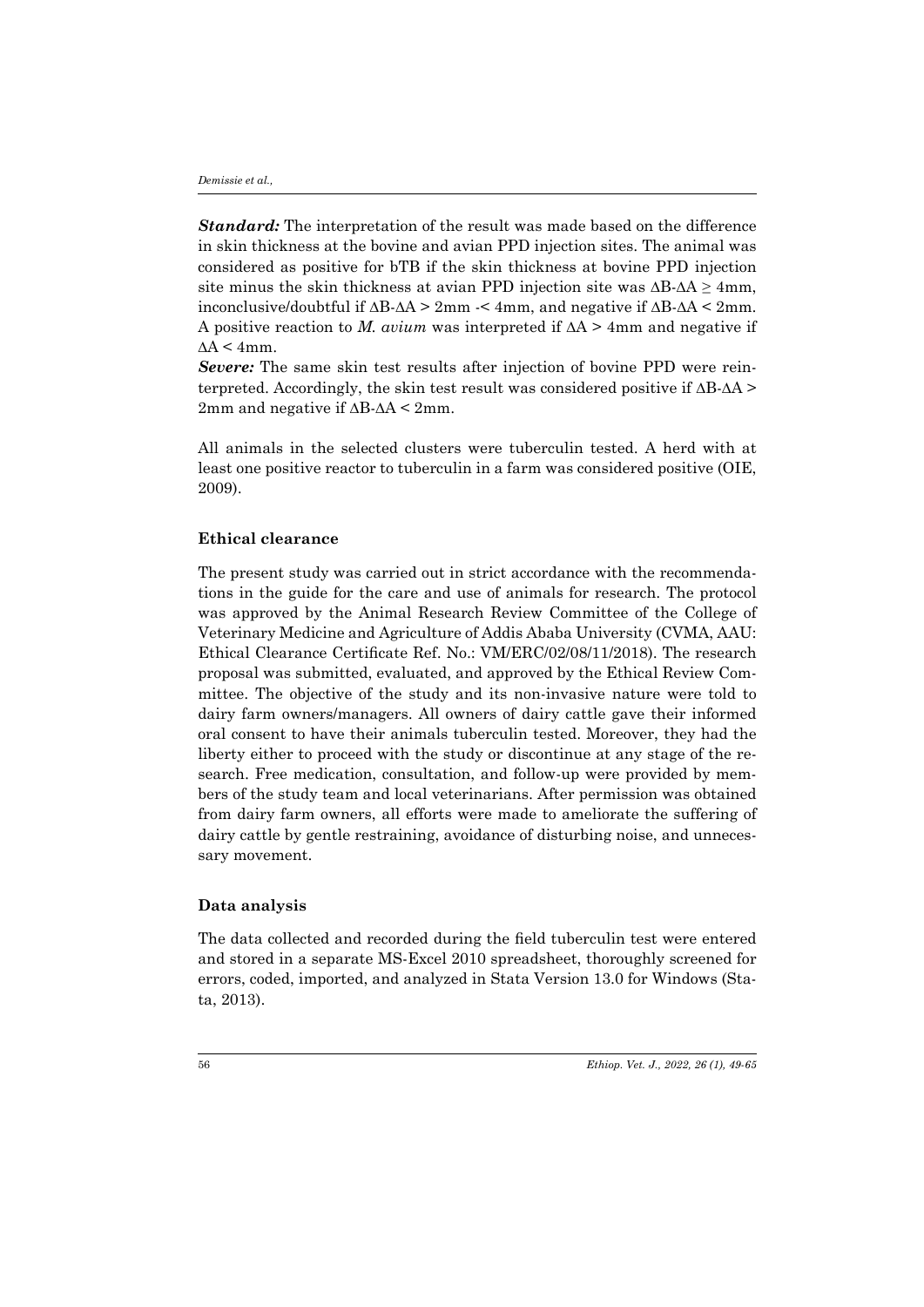*Standard:* The interpretation of the result was made based on the difference in skin thickness at the bovine and avian PPD injection sites. The animal was considered as positive for bTB if the skin thickness at bovine PPD injection site minus the skin thickness at avian PPD injection site was  $\Delta B - \Delta A \geq 4$ mm, inconclusive/doubtful if ∆B-∆A > 2mm -< 4mm, and negative if ∆B-∆A < 2mm. A positive reaction to *M. avium* was interpreted if ∆A > 4mm and negative if  $\Delta A \leq 4$ mm.

*Severe:* The same skin test results after injection of bovine PPD were reinterpreted. Accordingly, the skin test result was considered positive if ∆B-∆A > 2mm and negative if ∆B-∆A < 2mm.

All animals in the selected clusters were tuberculin tested. A herd with at least one positive reactor to tuberculin in a farm was considered positive (OIE, 2009).

#### **Ethical clearance**

The present study was carried out in strict accordance with the recommendations in the guide for the care and use of animals for research. The protocol was approved by the Animal Research Review Committee of the College of Veterinary Medicine and Agriculture of Addis Ababa University (CVMA, AAU: Ethical Clearance Certificate Ref. No.: VM/ERC/02/08/11/2018). The research proposal was submitted, evaluated, and approved by the Ethical Review Committee. The objective of the study and its non-invasive nature were told to dairy farm owners/managers. All owners of dairy cattle gave their informed oral consent to have their animals tuberculin tested. Moreover, they had the liberty either to proceed with the study or discontinue at any stage of the research. Free medication, consultation, and follow-up were provided by members of the study team and local veterinarians. After permission was obtained from dairy farm owners, all efforts were made to ameliorate the suffering of dairy cattle by gentle restraining, avoidance of disturbing noise, and unnecessary movement.

#### **Data analysis**

The data collected and recorded during the field tuberculin test were entered and stored in a separate MS-Excel 2010 spreadsheet, thoroughly screened for errors, coded, imported, and analyzed in Stata Version 13.0 for Windows (Stata, 2013).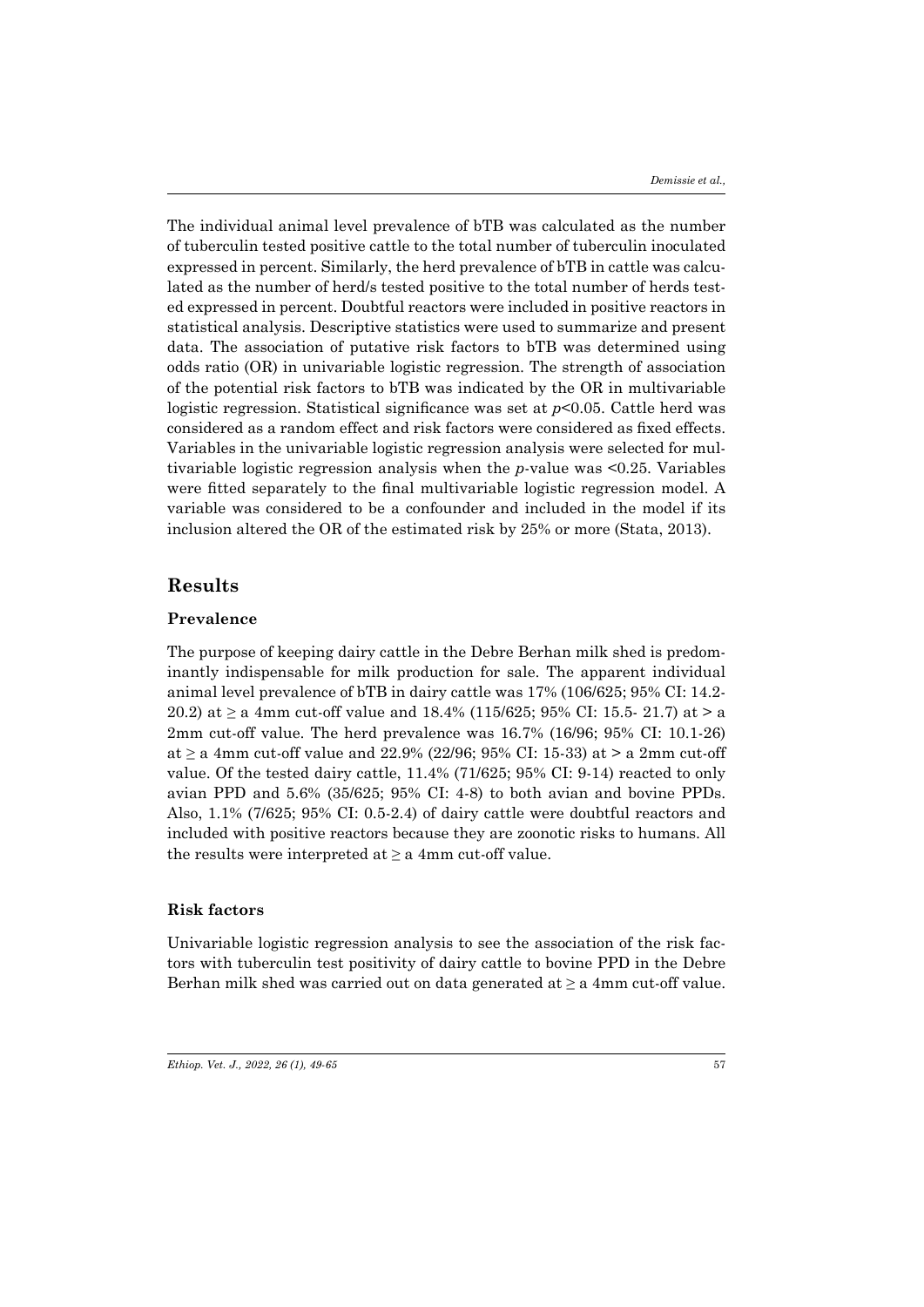The individual animal level prevalence of bTB was calculated as the number of tuberculin tested positive cattle to the total number of tuberculin inoculated expressed in percent. Similarly, the herd prevalence of bTB in cattle was calculated as the number of herd/s tested positive to the total number of herds tested expressed in percent. Doubtful reactors were included in positive reactors in statistical analysis. Descriptive statistics were used to summarize and present data. The association of putative risk factors to bTB was determined using odds ratio (OR) in univariable logistic regression. The strength of association of the potential risk factors to bTB was indicated by the OR in multivariable logistic regression. Statistical significance was set at *p*<0.05. Cattle herd was considered as a random effect and risk factors were considered as fixed effects. Variables in the univariable logistic regression analysis were selected for multivariable logistic regression analysis when the *p*-value was <0.25. Variables were fitted separately to the final multivariable logistic regression model. A variable was considered to be a confounder and included in the model if its inclusion altered the OR of the estimated risk by 25% or more (Stata, 2013).

## **Results**

#### **Prevalence**

The purpose of keeping dairy cattle in the Debre Berhan milk shed is predominantly indispensable for milk production for sale. The apparent individual animal level prevalence of bTB in dairy cattle was 17% (106/625; 95% CI: 14.2- 20.2) at  $\geq$  a 4mm cut-off value and 18.4% (115/625; 95% CI: 15.5- 21.7) at  $>$  a 2mm cut-off value. The herd prevalence was 16.7% (16/96; 95% CI: 10.1-26) at  $\geq$  a 4mm cut-off value and 22.9% (22/96; 95% CI: 15-33) at  $>$  a 2mm cut-off value. Of the tested dairy cattle, 11.4% (71/625; 95% CI: 9-14) reacted to only avian PPD and 5.6% (35/625; 95% CI: 4-8) to both avian and bovine PPDs. Also, 1.1% (7/625; 95% CI: 0.5-2.4) of dairy cattle were doubtful reactors and included with positive reactors because they are zoonotic risks to humans. All the results were interpreted at  $\geq a$  4mm cut-off value.

#### **Risk factors**

Univariable logistic regression analysis to see the association of the risk factors with tuberculin test positivity of dairy cattle to bovine PPD in the Debre Berhan milk shed was carried out on data generated at  $\geq a$  4mm cut-off value.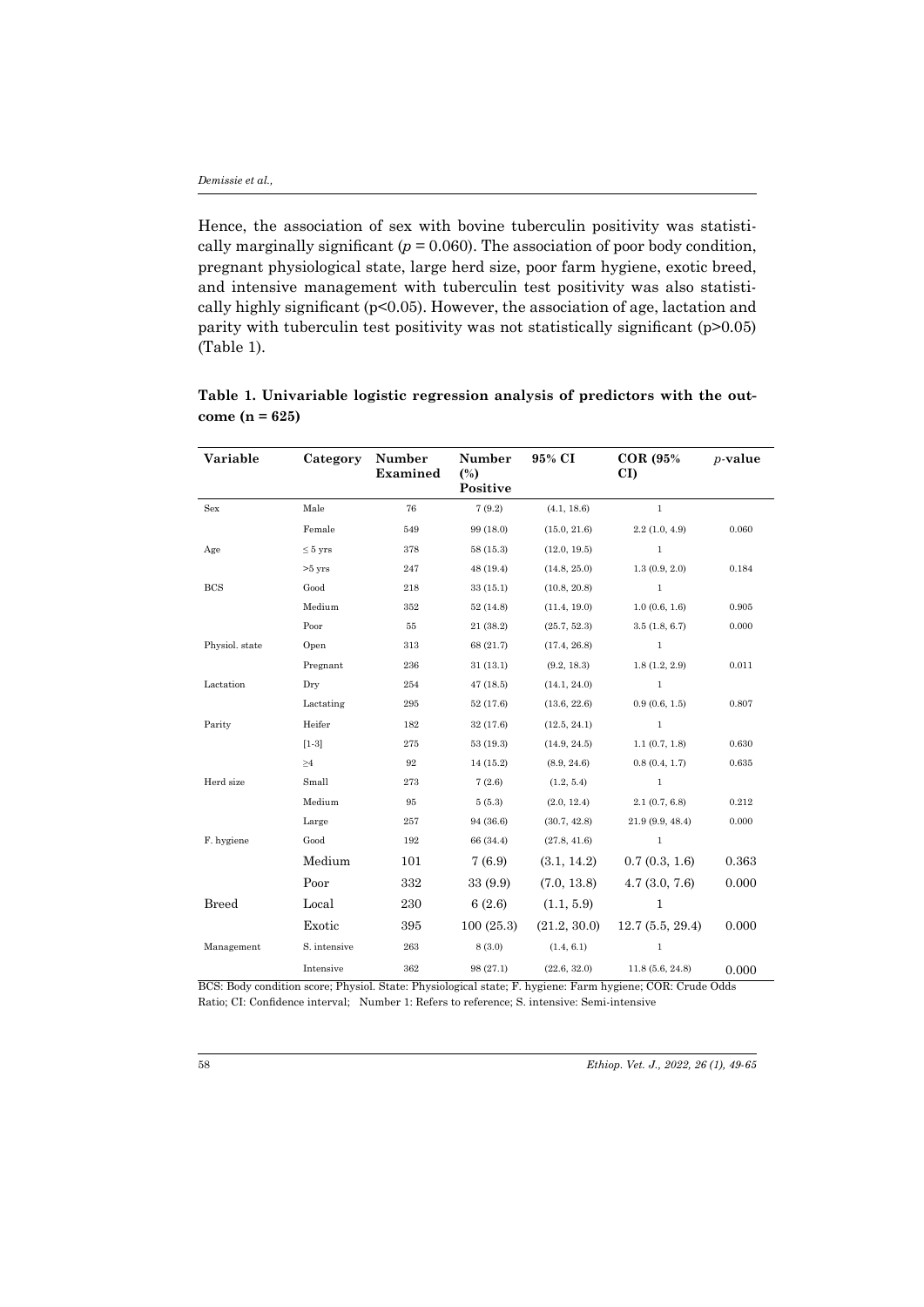Hence, the association of sex with bovine tuberculin positivity was statistically marginally significant ( $p = 0.060$ ). The association of poor body condition, pregnant physiological state, large herd size, poor farm hygiene, exotic breed, and intensive management with tuberculin test positivity was also statistically highly significant ( $p$ <0.05). However, the association of age, lactation and parity with tuberculin test positivity was not statistically significant (p>0.05) (Table 1).

| Variable       | Category     | Number<br><b>Examined</b> | Number<br>(%)<br>Positive | 95% CI       | COR (95%)<br>CI) | $p$ -value |
|----------------|--------------|---------------------------|---------------------------|--------------|------------------|------------|
| Sex            | Male         | 76                        | 7(9.2)                    | (4.1, 18.6)  | $\mathbf{1}$     |            |
|                | Female       | 549                       | 99 (18.0)                 | (15.0, 21.6) | 2.2(1.0, 4.9)    | 0.060      |
| Age            | $\leq 5$ yrs | 378                       | 58 (15.3)                 | (12.0, 19.5) | $1\,$            |            |
|                | $>5$ yrs     | 247                       | 48 (19.4)                 | (14.8, 25.0) | 1.3(0.9, 2.0)    | 0.184      |
| <b>BCS</b>     | Good         | 218                       | 33(15.1)                  | (10.8, 20.8) | $\mathbf{1}$     |            |
|                | Medium       | 352                       | 52(14.8)                  | (11.4, 19.0) | 1.0(0.6, 1.6)    | 0.905      |
|                | Poor         | 55                        | 21 (38.2)                 | (25.7, 52.3) | 3.5(1.8, 6.7)    | 0.000      |
| Physiol. state | Open         | 313                       | 68 (21.7)                 | (17.4, 26.8) | $\mathbf{1}$     |            |
|                | Pregnant     | 236                       | 31(13.1)                  | (9.2, 18.3)  | 1.8(1.2, 2.9)    | 0.011      |
| Lactation      | Dry          | 254                       | 47(18.5)                  | (14.1, 24.0) | $\mathbf{1}$     |            |
|                | Lactating    | 295                       | 52 (17.6)                 | (13.6, 22.6) | 0.9(0.6, 1.5)    | 0.807      |
| Parity         | Heifer       | 182                       | 32 (17.6)                 | (12.5, 24.1) | $\mathbf{1}$     |            |
|                | $[1-3]$      | 275                       | 53(19.3)                  | (14.9, 24.5) | 1.1(0.7, 1.8)    | 0.630      |
|                | $\geq 4$     | 92                        | 14 (15.2)                 | (8.9, 24.6)  | 0.8(0.4, 1.7)    | 0.635      |
| Herd size      | Small        | 273                       | 7(2.6)                    | (1.2, 5.4)   | $\mathbf{1}$     |            |
|                | Medium       | 95                        | 5(5.3)                    | (2.0, 12.4)  | 2.1(0.7, 6.8)    | 0.212      |
|                | Large        | 257                       | 94 (36.6)                 | (30.7, 42.8) | 21.9(9.9, 48.4)  | 0.000      |
| F. hygiene     | Good         | 192                       | 66 (34.4)                 | (27.8, 41.6) | $\mathbf{1}$     |            |
|                | Medium       | 101                       | 7(6.9)                    | (3.1, 14.2)  | 0.7(0.3, 1.6)    | 0.363      |
|                | Poor         | 332                       | 33 (9.9)                  | (7.0, 13.8)  | 4.7(3.0, 7.6)    | 0.000      |
| <b>Breed</b>   | Local        | 230                       | 6(2.6)                    | (1.1, 5.9)   | $\mathbf{1}$     |            |
|                | Exotic       | 395                       | 100(25.3)                 | (21.2, 30.0) | 12.7(5.5, 29.4)  | 0.000      |
| Management     | S. intensive | ${\bf 263}$               | 8(3.0)                    | (1.4, 6.1)   | $\mathbf{1}$     |            |
|                | Intensive    | 362                       | 98 (27.1)                 | (22.6, 32.0) | 11.8(5.6, 24.8)  | 0.000      |

**Table 1. Univariable logistic regression analysis of predictors with the outcome (n = 625)**

BCS: Body condition score; Physiol. State: Physiological state; F. hygiene: Farm hygiene; COR: Crude Odds Ratio; CI: Confidence interval; Number 1: Refers to reference; S. intensive: Semi-intensive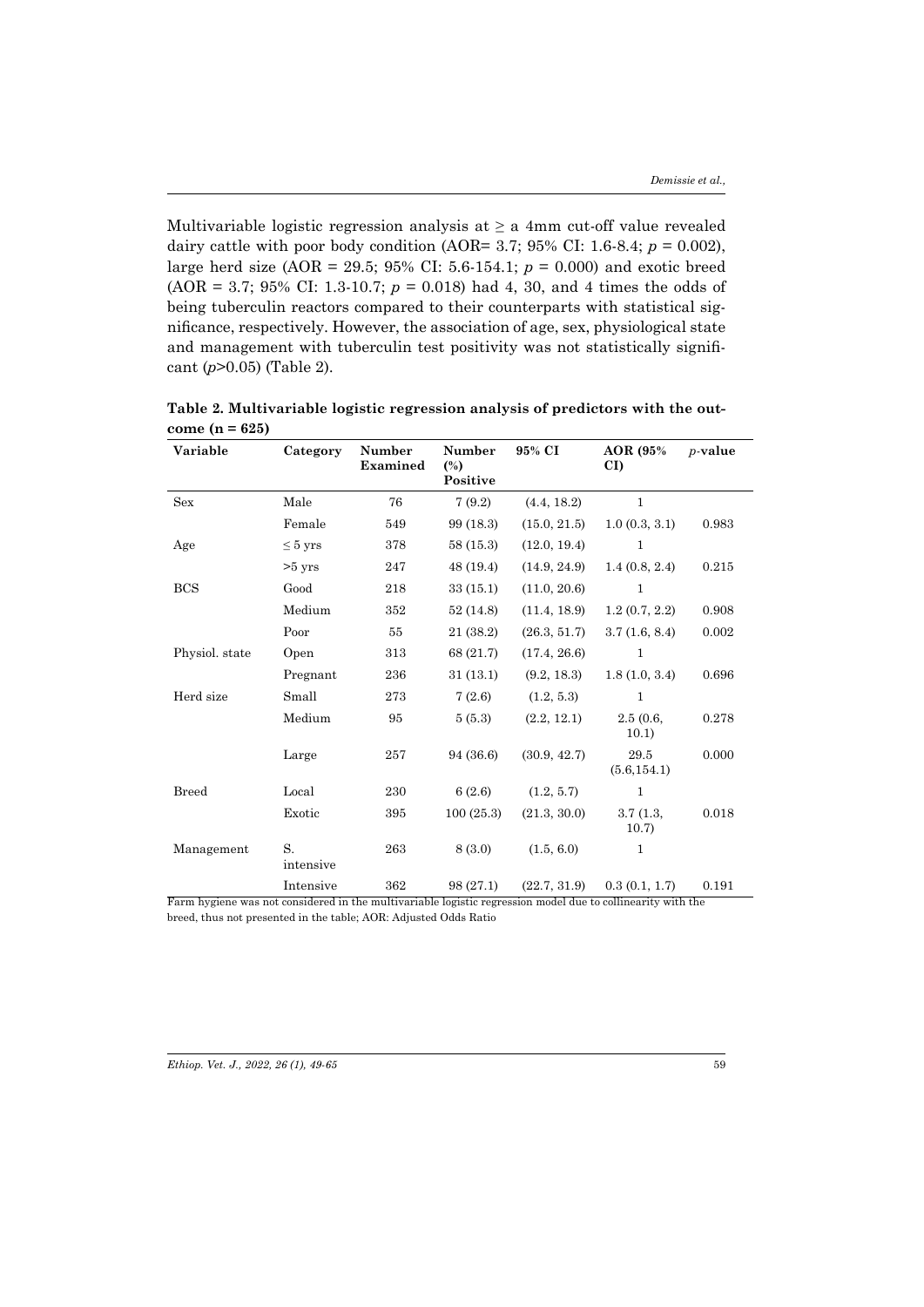Multivariable logistic regression analysis at *≥* a 4mm cut-off value revealed dairy cattle with poor body condition (AOR= 3.7; 95% CI: 1.6-8.4;  $p = 0.002$ ), large herd size (AOR = 29.5; 95% CI: 5.6-154.1; *p* = 0.000) and exotic breed (AOR = 3.7; 95% CI: 1.3-10.7;  $p = 0.018$ ) had 4, 30, and 4 times the odds of being tuberculin reactors compared to their counterparts with statistical significance, respectively. However, the association of age, sex, physiological state and management with tuberculin test positivity was not statistically significant (*p*>0.05) (Table 2).

| Variable         | Category        | <b>Number</b><br><b>Examined</b> | Number<br>$(\%)$<br>Positive | 95% CI                              | AOR (95%)<br>CI)                              | $p$ -value |
|------------------|-----------------|----------------------------------|------------------------------|-------------------------------------|-----------------------------------------------|------------|
| <b>Sex</b>       | Male            | 76                               | 7(9.2)                       | (4.4, 18.2)                         | $\mathbf{1}$                                  |            |
|                  | Female          | 549                              | 99 (18.3)                    | (15.0, 21.5)                        | 1.0(0.3, 3.1)                                 | 0.983      |
| Age              | $\leq 5$ yrs    | 378                              | 58(15.3)                     | (12.0, 19.4)                        | $\mathbf{1}$                                  |            |
|                  | $>5$ yrs        | 247                              | 48 (19.4)                    | (14.9, 24.9)                        | 1.4(0.8, 2.4)                                 | 0.215      |
| BCS              | Good            | 218                              | 33(15.1)                     | (11.0, 20.6)                        | $\mathbf{1}$                                  |            |
|                  | Medium          | 352                              | 52 (14.8)                    | (11.4, 18.9)                        | 1.2(0.7, 2.2)                                 | 0.908      |
|                  | Poor            | 55                               | 21 (38.2)                    | (26.3, 51.7)                        | 3.7(1.6, 8.4)                                 | 0.002      |
| Physiol. state   | Open            | 313                              | 68 (21.7)                    | (17.4, 26.6)                        | 1                                             |            |
|                  | Pregnant        | 236                              | 31(13.1)                     | (9.2, 18.3)                         | 1.8(1.0, 3.4)                                 | 0.696      |
| Herd size        | Small           | 273                              | 7(2.6)                       | (1.2, 5.3)                          | $\mathbf{1}$                                  |            |
|                  | Medium          | 95                               | 5(5.3)                       | (2.2, 12.1)                         | 2.5(0.6,<br>10.1)                             | 0.278      |
|                  | Large           | 257                              | 94 (36.6)                    | (30.9, 42.7)                        | 29.5<br>(5.6, 154.1)                          | 0.000      |
| <b>Breed</b>     | Local           | 230                              | 6(2.6)                       | (1.2, 5.7)                          | $\mathbf{1}$                                  |            |
|                  | Exotic          | 395                              | 100(25.3)                    | (21.3, 30.0)                        | 3.7(1.3,<br>10.7)                             | 0.018      |
| Management<br>᠊ᠷ | S.<br>intensive | 263                              | 8(3.0)                       | (1.5, 6.0)                          | 1                                             |            |
|                  | Intensive       | 362<br>$\overline{11}$           | 98(27.1)<br>.                | (22.7, 31.9)<br>$\overline{\cdots}$ | 0.3(0.1, 1.7)<br>$\overline{111}$<br>$\cdots$ | 0.191      |

**Table 2. Multivariable logistic regression analysis of predictors with the outcome (n = 625)**

Farm hygiene was not considered in the multivariable logistic regression model due to collinearity with the breed, thus not presented in the table; AOR: Adjusted Odds Ratio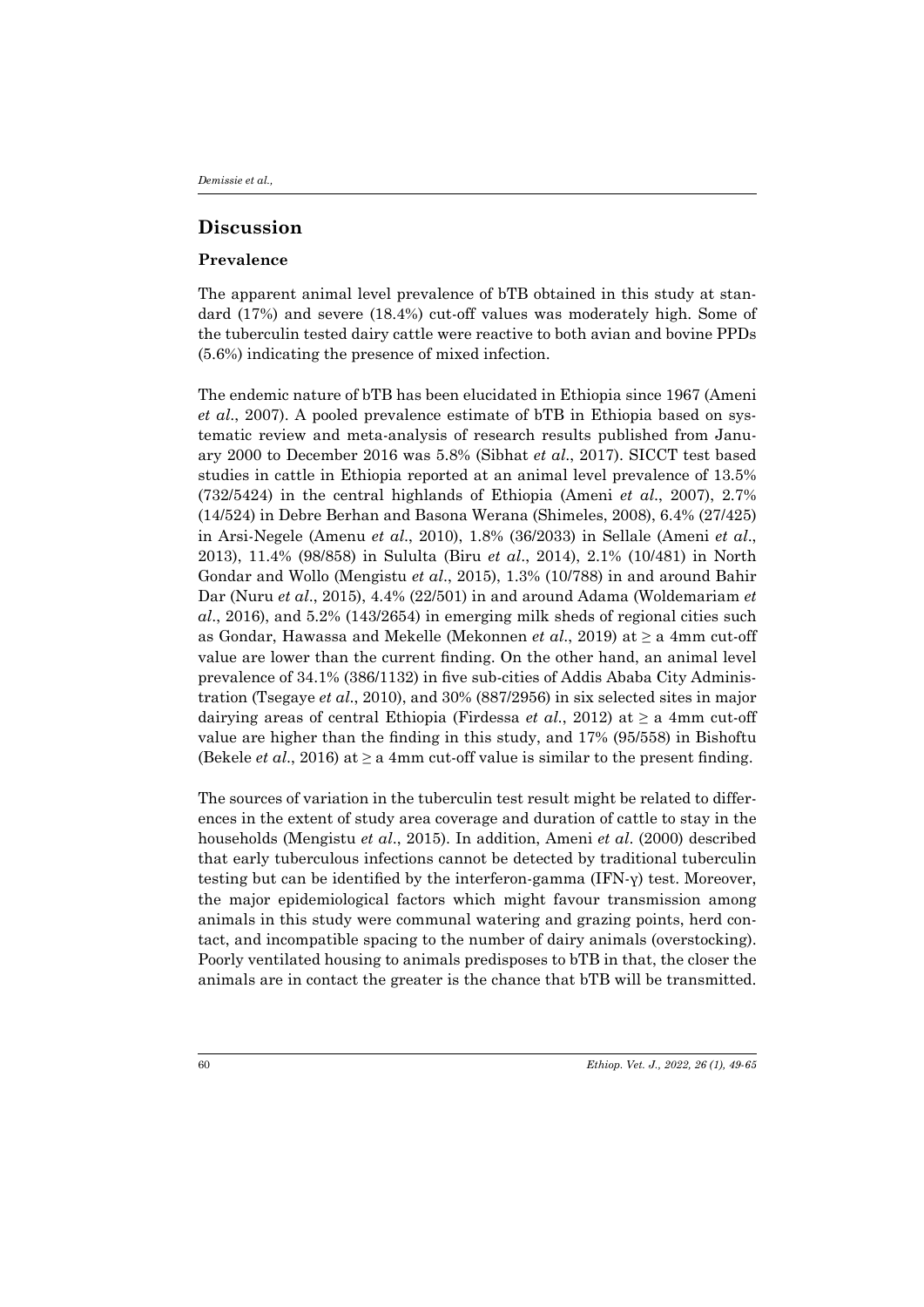## **Discussion**

#### **Prevalence**

The apparent animal level prevalence of bTB obtained in this study at standard (17%) and severe (18.4%) cut-off values was moderately high. Some of the tuberculin tested dairy cattle were reactive to both avian and bovine PPDs (5.6%) indicating the presence of mixed infection.

The endemic nature of bTB has been elucidated in Ethiopia since 1967 (Ameni *et al*., 2007). A pooled prevalence estimate of bTB in Ethiopia based on systematic review and meta-analysis of research results published from January 2000 to December 2016 was 5.8% (Sibhat *et al*., 2017). SICCT test based studies in cattle in Ethiopia reported at an animal level prevalence of 13.5% (732/5424) in the central highlands of Ethiopia (Ameni *et al*., 2007), 2.7% (14/524) in Debre Berhan and Basona Werana (Shimeles, 2008), 6.4% (27/425) in Arsi-Negele (Amenu *et al*., 2010), 1.8% (36/2033) in Sellale (Ameni *et al*., 2013), 11.4% (98/858) in Sululta (Biru *et al*., 2014), 2.1% (10/481) in North Gondar and Wollo (Mengistu *et al*., 2015), 1.3% (10/788) in and around Bahir Dar (Nuru *et al*., 2015), 4.4% (22/501) in and around Adama (Woldemariam *et al*., 2016), and 5.2% (143/2654) in emerging milk sheds of regional cities such as Gondar, Hawassa and Mekelle (Mekonnen *et al*., 2019) at ≥ a 4mm cut-off value are lower than the current finding. On the other hand, an animal level prevalence of 34.1% (386/1132) in five sub-cities of Addis Ababa City Administration (Tsegaye *et al*., 2010), and 30% (887/2956) in six selected sites in major dairying areas of central Ethiopia (Firdessa *et al.*, 2012) at  $\geq$  a 4mm cut-off value are higher than the finding in this study, and 17% (95/558) in Bishoftu (Bekele *et al.*, 2016) at  $\geq$  a 4mm cut-off value is similar to the present finding.

The sources of variation in the tuberculin test result might be related to differences in the extent of study area coverage and duration of cattle to stay in the households (Mengistu *et al*., 2015). In addition, Ameni *et al*. (2000) described that early tuberculous infections cannot be detected by traditional tuberculin testing but can be identified by the interferon-gamma (IFN-γ) test. Moreover, the major epidemiological factors which might favour transmission among animals in this study were communal watering and grazing points, herd contact, and incompatible spacing to the number of dairy animals (overstocking). Poorly ventilated housing to animals predisposes to bTB in that, the closer the animals are in contact the greater is the chance that bTB will be transmitted.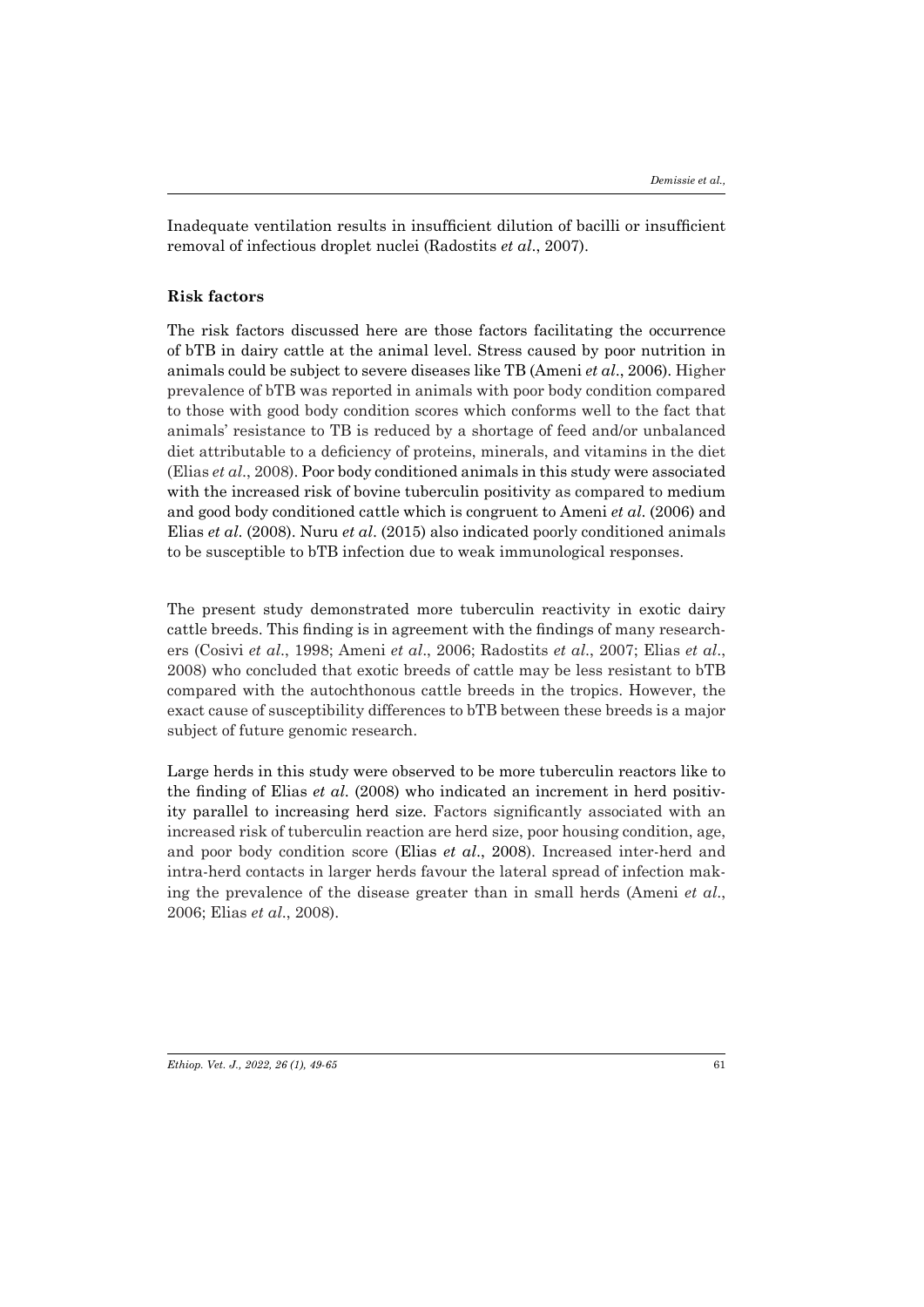Inadequate ventilation results in insufficient dilution of bacilli or insufficient removal of infectious droplet nuclei (Radostits *et al*., 2007).

### **Risk factors**

The risk factors discussed here are those factors facilitating the occurrence of bTB in dairy cattle at the animal level. Stress caused by poor nutrition in animals could be subject to severe diseases like TB (Ameni *et al*., 2006). Higher prevalence of bTB was reported in animals with poor body condition compared to those with good body condition scores which conforms well to the fact that animals' resistance to TB is reduced by a shortage of feed and/or unbalanced diet attributable to a deficiency of proteins, minerals, and vitamins in the diet (Elias *et al*., 2008). Poor body conditioned animals in this study were associated with the increased risk of bovine tuberculin positivity as compared to medium and good body conditioned cattle which is congruent to Ameni *et al*. (2006) and Elias *et al*. (2008). Nuru *et al*. (2015) also indicated poorly conditioned animals to be susceptible to bTB infection due to weak immunological responses.

The present study demonstrated more tuberculin reactivity in exotic dairy cattle breeds. This finding is in agreement with the findings of many researchers (Cosivi *et al*., 1998; Ameni *et al*., 2006; Radostits *et al*., 2007; Elias *et al*., 2008) who concluded that exotic breeds of cattle may be less resistant to bTB compared with the autochthonous cattle breeds in the tropics. However, the exact cause of susceptibility differences to bTB between these breeds is a major subject of future genomic research.

Large herds in this study were observed to be more tuberculin reactors like to the finding of Elias *et al*. (2008) who indicated an increment in herd positivity parallel to increasing herd size. Factors significantly associated with an increased risk of tuberculin reaction are herd size, poor housing condition, age, and poor body condition score (Elias *et al*., 2008). Increased inter-herd and intra-herd contacts in larger herds favour the lateral spread of infection making the prevalence of the disease greater than in small herds (Ameni *et al*., 2006; Elias *et al*., 2008).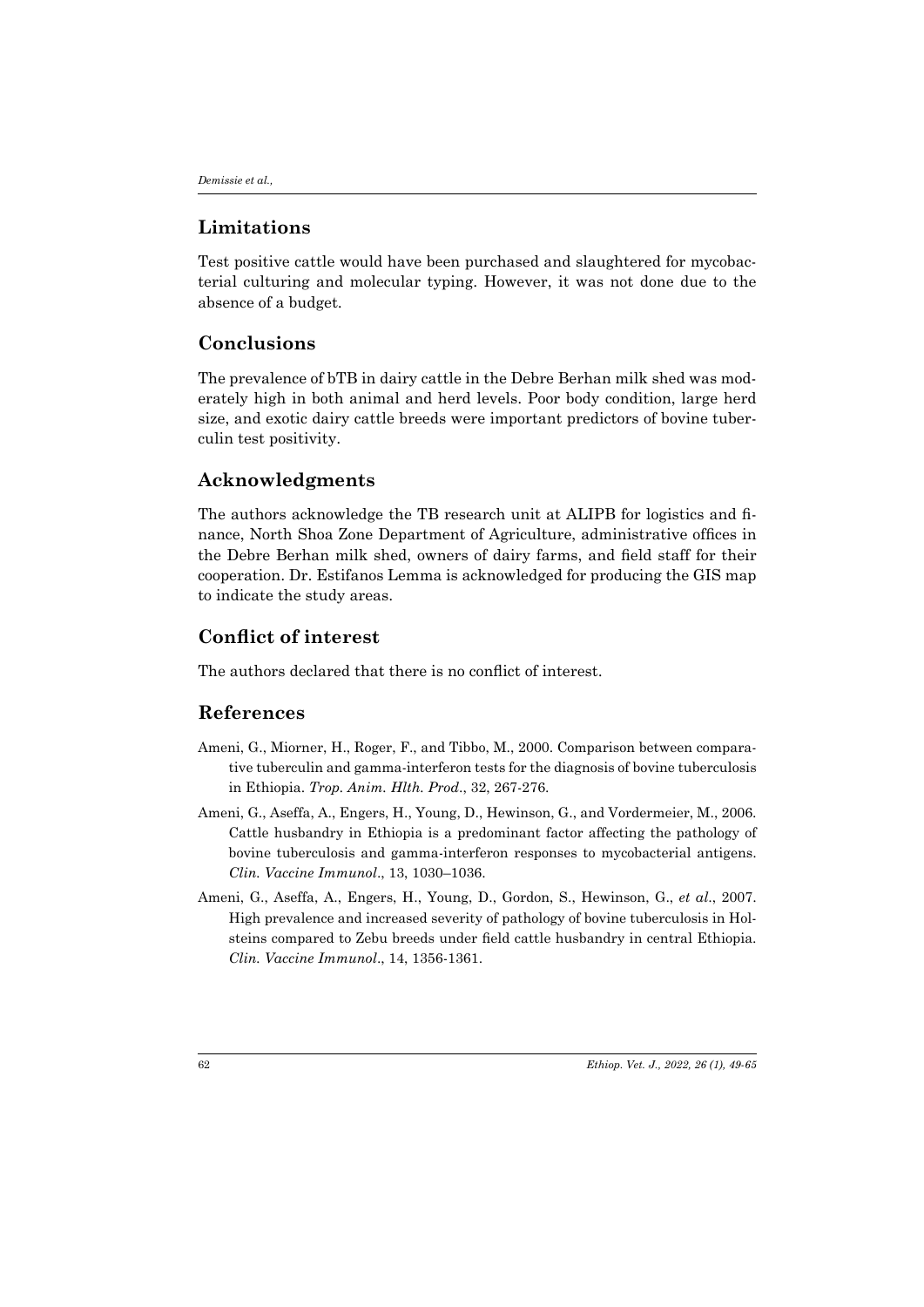# **Limitations**

Test positive cattle would have been purchased and slaughtered for mycobacterial culturing and molecular typing. However, it was not done due to the absence of a budget.

# **Conclusions**

The prevalence of bTB in dairy cattle in the Debre Berhan milk shed was moderately high in both animal and herd levels. Poor body condition, large herd size, and exotic dairy cattle breeds were important predictors of bovine tuberculin test positivity.

# **Acknowledgments**

The authors acknowledge the TB research unit at ALIPB for logistics and finance, North Shoa Zone Department of Agriculture, administrative offices in the Debre Berhan milk shed, owners of dairy farms, and field staff for their cooperation. Dr. Estifanos Lemma is acknowledged for producing the GIS map to indicate the study areas.

# **Conflict of interest**

The authors declared that there is no conflict of interest.

# **References**

- Ameni, G., Miorner, H., Roger, F., and Tibbo, M., 2000. Comparison between comparative tuberculin and gamma-interferon tests for the diagnosis of bovine tuberculosis in Ethiopia. *Trop. Anim. Hlth. Prod*., 32, 267-276.
- Ameni, G., Aseffa, A., Engers, H., Young, D., Hewinson, G., and Vordermeier, M., 2006. Cattle husbandry in Ethiopia is a predominant factor affecting the pathology of bovine tuberculosis and gamma-interferon responses to mycobacterial antigens. *Clin. Vaccine Immunol*., 13, 1030–1036.
- Ameni, G., Aseffa, A., Engers, H., Young, D., Gordon, S., Hewinson, G., *et al*., 2007. High prevalence and increased severity of pathology of bovine tuberculosis in Holsteins compared to Zebu breeds under field cattle husbandry in central Ethiopia. *Clin. Vaccine Immunol*., 14, 1356-1361.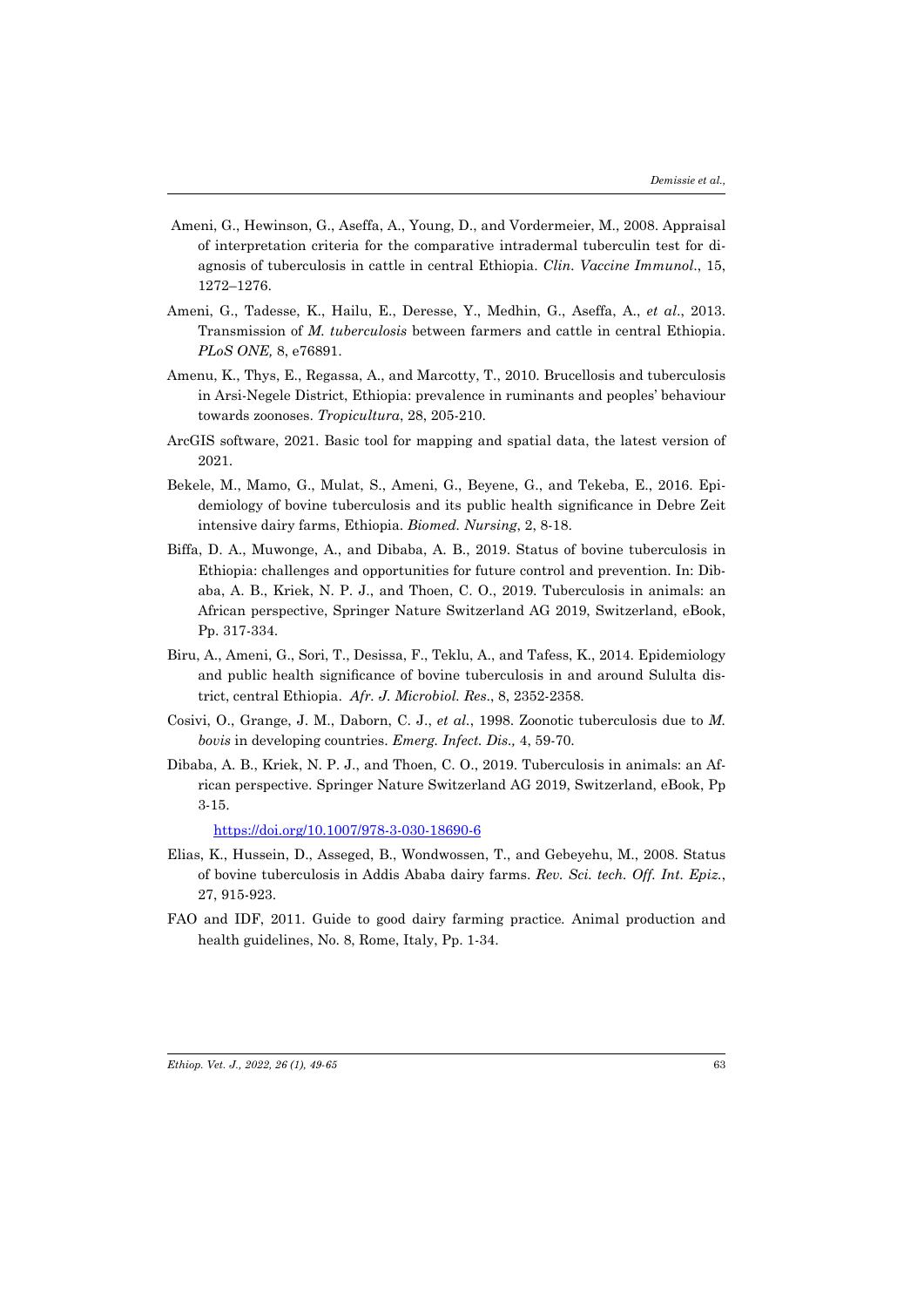- Ameni, G., Hewinson, G., Aseffa, A., Young, D., and Vordermeier, M., 2008. Appraisal of interpretation criteria for the comparative intradermal tuberculin test for diagnosis of tuberculosis in cattle in central Ethiopia. *Clin. Vaccine Immunol*., 15, 1272–1276.
- Ameni, G., Tadesse, K., Hailu, E., Deresse, Y., Medhin, G., Aseffa, A., *et al*., 2013. Transmission of *M. tuberculosis* between farmers and cattle in central Ethiopia. *PLoS ONE,* 8, e76891.
- Amenu, K., Thys, E., Regassa, A., and Marcotty, T., 2010. Brucellosis and tuberculosis in Arsi-Negele District, Ethiopia: prevalence in ruminants and peoples' behaviour towards zoonoses. *Tropicultura*, 28, 205-210.
- ArcGIS software, 2021. Basic tool for mapping and spatial data, the latest version of 2021.
- Bekele, M., Mamo, G., Mulat, S., Ameni, G., Beyene, G., and Tekeba, E., 2016. Epidemiology of bovine tuberculosis and its public health significance in Debre Zeit intensive dairy farms, Ethiopia. *Biomed. Nursing*, 2, 8-18.
- Biffa, D. A., Muwonge, A., and Dibaba, A. B., 2019. Status of bovine tuberculosis in Ethiopia: challenges and opportunities for future control and prevention. In: Dibaba, A. B., Kriek, N. P. J., and Thoen, C. O., 2019. Tuberculosis in animals: an African perspective, Springer Nature Switzerland AG 2019, Switzerland, eBook, Pp. 317-334.
- Biru, A., Ameni, G., Sori, T., Desissa, F., Teklu, A., and Tafess, K., 2014. Epidemiology and public health significance of bovine tuberculosis in and around Sululta district, central Ethiopia. *Afr. J. Microbiol. Res*., 8, 2352-2358.
- Cosivi, O., Grange, J. M., Daborn, C. J., *et al.*, 1998. Zoonotic tuberculosis due to *M. bovis* in developing countries. *Emerg. Infect. Dis.,* 4, 59-70.
- Dibaba, A. B., Kriek, N. P. J., and Thoen, C. O., 2019. Tuberculosis in animals: an African perspective. Springer Nature Switzerland AG 2019, Switzerland, eBook, Pp 3-15.

https://doi.org/10.1007/978-3-030-18690-6

- Elias, K., Hussein, D., Asseged, B., Wondwossen, T., and Gebeyehu, M., 2008. Status of bovine tuberculosis in Addis Ababa dairy farms. *Rev. Sci. tech. Off. Int. Epiz.*, 27, 915-923.
- FAO and IDF, 2011. Guide to good dairy farming practice*.* Animal production and health guidelines, No. 8, Rome, Italy, Pp. 1-34.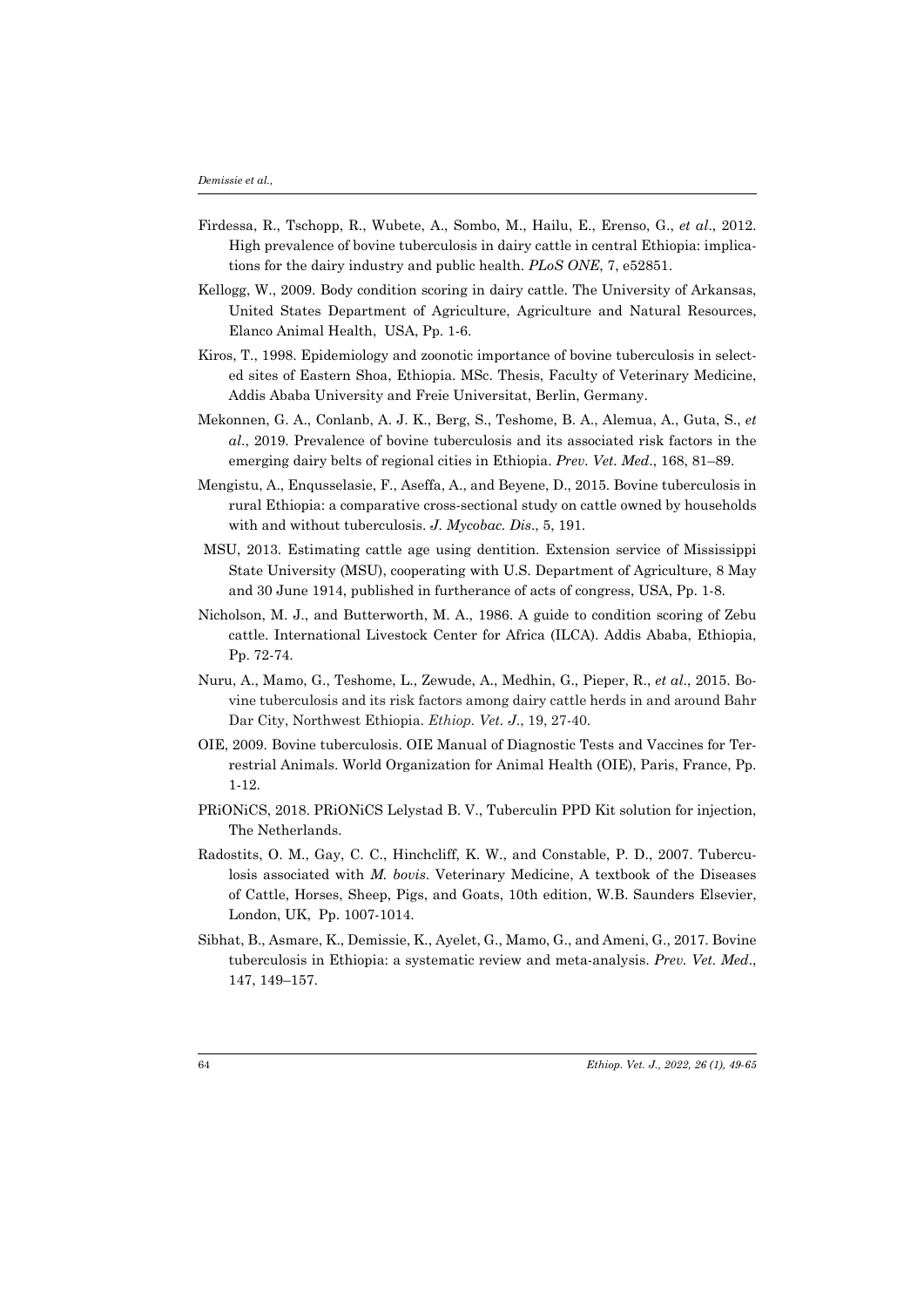- Firdessa, R., Tschopp, R., Wubete, A., Sombo, M., Hailu, E., Erenso, G., *et al*., 2012. High prevalence of bovine tuberculosis in dairy cattle in central Ethiopia: implications for the dairy industry and public health. *PLoS ONE*, 7, e52851.
- Kellogg, W., 2009. Body condition scoring in dairy cattle. The University of Arkansas, United States Department of Agriculture, Agriculture and Natural Resources, Elanco Animal Health, USA, Pp. 1-6.
- Kiros, T., 1998. Epidemiology and zoonotic importance of bovine tuberculosis in selected sites of Eastern Shoa, Ethiopia. MSc. Thesis, Faculty of Veterinary Medicine, Addis Ababa University and Freie Universitat, Berlin, Germany.
- Mekonnen, G. A., Conlanb, A. J. K., Berg, S., Teshome, B. A., Alemua, A., Guta, S., *et al*., 2019. Prevalence of bovine tuberculosis and its associated risk factors in the emerging dairy belts of regional cities in Ethiopia. *Prev. Vet. Med*., 168, 81–89.
- Mengistu, A., Enqusselasie, F., Aseffa, A., and Beyene, D., 2015. Bovine tuberculosis in rural Ethiopia: a comparative cross-sectional study on cattle owned by households with and without tuberculosis. *J. Mycobac. Dis*., 5, 191.
- MSU, 2013. Estimating cattle age using dentition. Extension service of Mississippi State University (MSU), cooperating with U.S. Department of Agriculture, 8 May and 30 June 1914, published in furtherance of acts of congress, USA, Pp. 1-8.
- Nicholson, M. J., and Butterworth, M. A., 1986. A guide to condition scoring of Zebu cattle. International Livestock Center for Africa (ILCA). Addis Ababa, Ethiopia, Pp. 72-74.
- Nuru, A., Mamo, G., Teshome, L., Zewude, A., Medhin, G., Pieper, R., *et al*., 2015. Bovine tuberculosis and its risk factors among dairy cattle herds in and around Bahr Dar City, Northwest Ethiopia. *Ethiop. Vet. J*., 19, 27-40.
- OIE, 2009. Bovine tuberculosis. OIE Manual of Diagnostic Tests and Vaccines for Terrestrial Animals. World Organization for Animal Health (OIE), Paris, France, Pp. 1-12.
- PRiONiCS, 2018. PRiONiCS Lelystad B. V., Tuberculin PPD Kit solution for injection, The Netherlands.
- Radostits, O. M., Gay, C. C., Hinchcliff, K. W., and Constable, P. D., 2007. Tuberculosis associated with *M. bovis*. Veterinary Medicine, A textbook of the Diseases of Cattle, Horses, Sheep, Pigs, and Goats, 10th edition, W.B. Saunders Elsevier, London, UK, Pp. 1007-1014.
- Sibhat, B., Asmare, K., Demissie, K., Ayelet, G., Mamo, G., and Ameni, G., 2017. Bovine tuberculosis in Ethiopia: a systematic review and meta-analysis. *Prev. Vet. Med*., 147, 149–157.